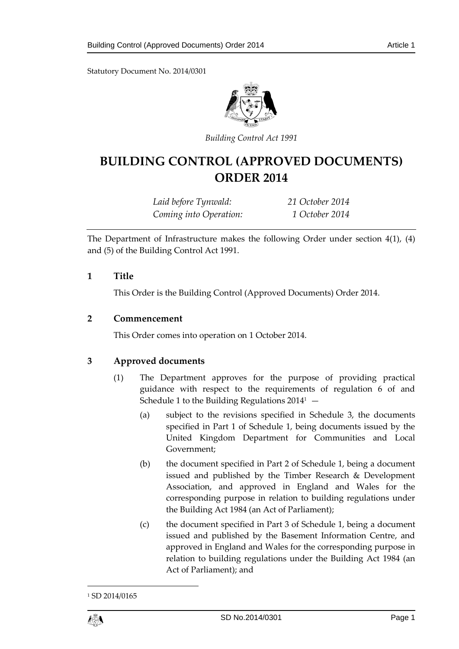Statutory Document No. 2014/0301



*Building Control Act 1991*

# **BUILDING CONTROL (APPROVED DOCUMENTS) ORDER 2014**

*Laid before Tynwald: 21 October 2014 Coming into Operation: 1 October 2014*

The Department of Infrastructure makes the following Order under section 4(1), (4) and (5) of the Building Control Act 1991.

## **1 Title**

This Order is the Building Control (Approved Documents) Order 2014.

## **2 Commencement**

This Order comes into operation on 1 October 2014.

## **3 Approved documents**

- (1) The Department approves for the purpose of providing practical guidance with respect to the requirements of regulation 6 of and Schedule 1 to the Building Regulations  $2014^1$  –
	- (a) subject to the revisions specified in Schedule 3, the documents specified in Part 1 of Schedule 1, being documents issued by the United Kingdom Department for Communities and Local Government;
	- (b) the document specified in Part 2 of Schedule 1, being a document issued and published by the Timber Research & Development Association, and approved in England and Wales for the corresponding purpose in relation to building regulations under the Building Act 1984 (an Act of Parliament);
	- (c) the document specified in Part 3 of Schedule 1, being a document issued and published by the Basement Information Centre, and approved in England and Wales for the corresponding purpose in relation to building regulations under the Building Act 1984 (an Act of Parliament); and



1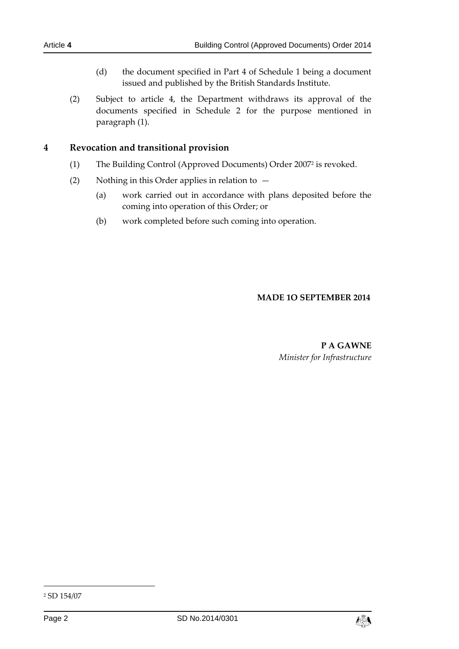- (d) the document specified in Part 4 of Schedule 1 being a document issued and published by the British Standards Institute.
- (2) Subject to article 4, the Department withdraws its approval of the documents specified in Schedule 2 for the purpose mentioned in paragraph (1).

# **4 Revocation and transitional provision**

- (1) The Building Control (Approved Documents) Order 2007<sup>2</sup> is revoked.
- (2) Nothing in this Order applies in relation to  $-$ 
	- (a) work carried out in accordance with plans deposited before the coming into operation of this Order; or
	- (b) work completed before such coming into operation.

## **MADE 1O SEPTEMBER 2014**

# **P A GAWNE** *Minister for Infrastructure*

-



<sup>2</sup> SD 154/07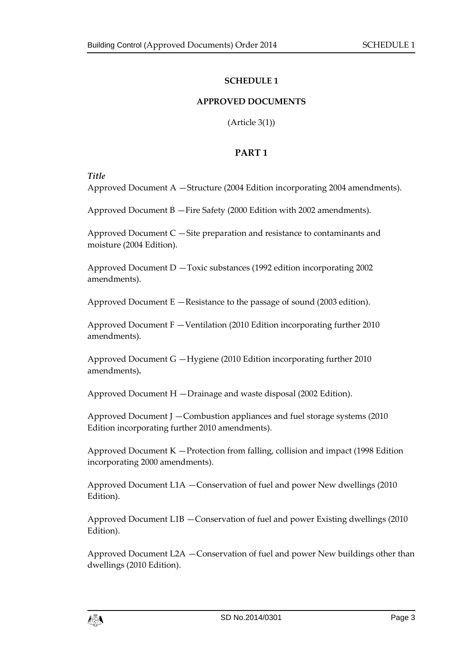#### **SCHEDULE 1**

#### **APPROVED DOCUMENTS**

(Article 3(1))

# **PART 1**

*Title* 

Approved Document A —Structure (2004 Edition incorporating 2004 amendments).

Approved Document B —Fire Safety (2000 Edition with 2002 amendments).

Approved Document C —Site preparation and resistance to contaminants and moisture (2004 Edition).

Approved Document D —Toxic substances (1992 edition incorporating 2002 amendments).

Approved Document E —Resistance to the passage of sound (2003 edition).

Approved Document F —Ventilation (2010 Edition incorporating further 2010 amendments).

Approved Document G —Hygiene (2010 Edition incorporating further 2010 amendments)**.**

Approved Document H —Drainage and waste disposal (2002 Edition).

Approved Document J —Combustion appliances and fuel storage systems (2010 Edition incorporating further 2010 amendments).

Approved Document K —Protection from falling, collision and impact (1998 Edition incorporating 2000 amendments).

Approved Document L1A —Conservation of fuel and power New dwellings (2010 Edition).

Approved Document L1B —Conservation of fuel and power Existing dwellings (2010 Edition).

Approved Document L2A —Conservation of fuel and power New buildings other than dwellings (2010 Edition).

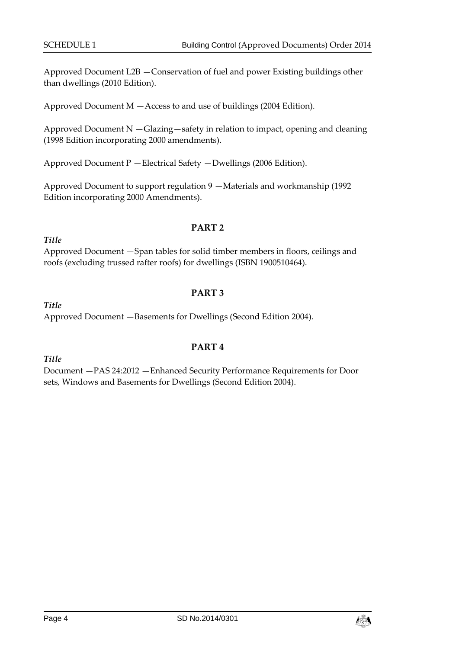Approved Document L2B —Conservation of fuel and power Existing buildings other than dwellings (2010 Edition).

Approved Document M —Access to and use of buildings (2004 Edition).

Approved Document N —Glazing—safety in relation to impact, opening and cleaning (1998 Edition incorporating 2000 amendments).

Approved Document P —Electrical Safety —Dwellings (2006 Edition).

Approved Document to support regulation 9 —Materials and workmanship (1992 Edition incorporating 2000 Amendments).

## **PART 2**

Approved Document —Span tables for solid timber members in floors, ceilings and roofs (excluding trussed rafter roofs) for dwellings (ISBN 1900510464).

# **PART 3**

*Title*  Approved Document —Basements for Dwellings (Second Edition 2004).

*Title* 

*Title* 

## **PART 4**

Document —PAS 24:2012 —Enhanced Security Performance Requirements for Door sets, Windows and Basements for Dwellings (Second Edition 2004).

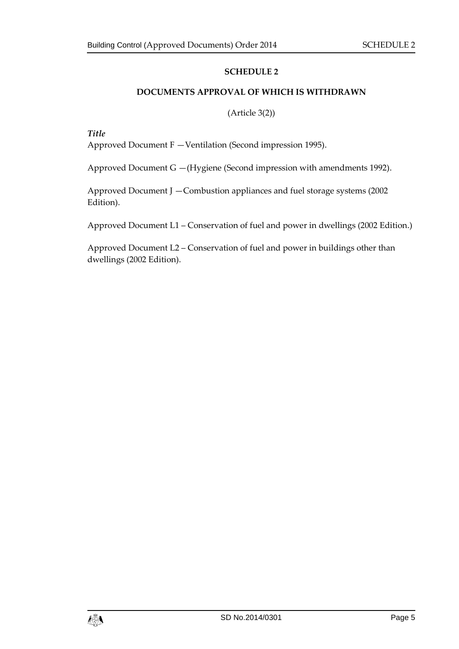## **SCHEDULE 2**

### **DOCUMENTS APPROVAL OF WHICH IS WITHDRAWN**

#### (Article 3(2))

*Title* 

Approved Document F —Ventilation (Second impression 1995).

Approved Document G —(Hygiene (Second impression with amendments 1992).

Approved Document J —Combustion appliances and fuel storage systems (2002 Edition).

Approved Document L1 – Conservation of fuel and power in dwellings (2002 Edition.)

Approved Document L2 – Conservation of fuel and power in buildings other than dwellings (2002 Edition).

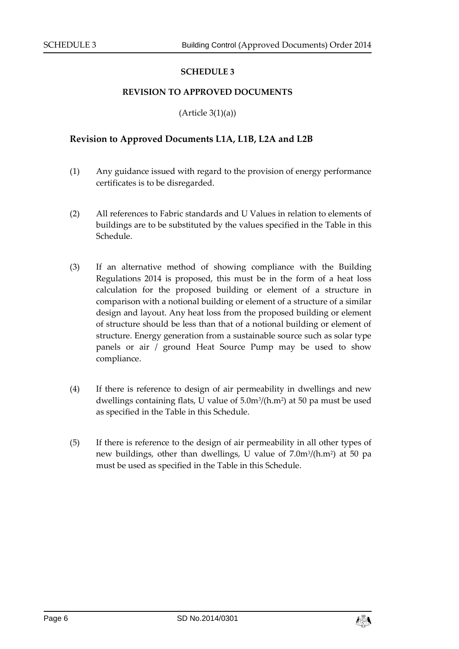#### **SCHEDULE 3**

#### **REVISION TO APPROVED DOCUMENTS**

 $(A$ rticle  $3(1)(a)$ 

#### **Revision to Approved Documents L1A, L1B, L2A and L2B**

- (1) Any guidance issued with regard to the provision of energy performance certificates is to be disregarded.
- (2) All references to Fabric standards and U Values in relation to elements of buildings are to be substituted by the values specified in the Table in this Schedule.
- (3) If an alternative method of showing compliance with the Building Regulations 2014 is proposed, this must be in the form of a heat loss calculation for the proposed building or element of a structure in comparison with a notional building or element of a structure of a similar design and layout. Any heat loss from the proposed building or element of structure should be less than that of a notional building or element of structure. Energy generation from a sustainable source such as solar type panels or air / ground Heat Source Pump may be used to show compliance.
- (4) If there is reference to design of air permeability in dwellings and new dwellings containing flats, U value of 5.0m3/(h.m<sup>2</sup>) at 50 pa must be used as specified in the Table in this Schedule.
- (5) If there is reference to the design of air permeability in all other types of new buildings, other than dwellings, U value of 7.0m<sup>3</sup> /(h.m<sup>2</sup> ) at 50 pa must be used as specified in the Table in this Schedule.

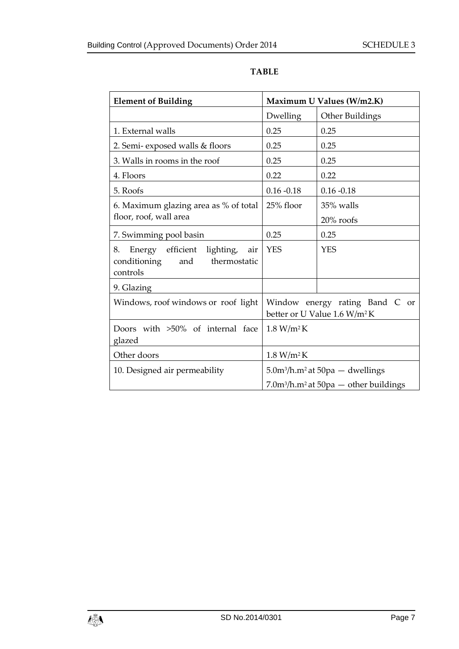| <b>Element of Building</b>                                                                 | Maximum U Values (W/m2.K)                                                  |                 |
|--------------------------------------------------------------------------------------------|----------------------------------------------------------------------------|-----------------|
|                                                                                            | Dwelling                                                                   | Other Buildings |
| 1. External walls                                                                          | 0.25                                                                       | 0.25            |
| 2. Semi-exposed walls & floors                                                             | 0.25                                                                       | 0.25            |
| 3. Walls in rooms in the roof                                                              | 0.25                                                                       | 0.25            |
| 4. Floors                                                                                  | 0.22                                                                       | 0.22            |
| 5. Roofs                                                                                   | $0.16 - 0.18$                                                              | $0.16 - 0.18$   |
| 6. Maximum glazing area as % of total                                                      | 25% floor                                                                  | 35% walls       |
| floor, roof, wall area                                                                     |                                                                            | $20\%$ roofs    |
| 7. Swimming pool basin                                                                     | 0.25                                                                       | 0.25            |
| Energy efficient lighting,<br>8.<br>air<br>conditioning<br>and<br>thermostatic<br>controls | <b>YES</b>                                                                 | <b>YES</b>      |
| 9. Glazing                                                                                 |                                                                            |                 |
| Windows, roof windows or roof light                                                        | Window energy rating Band C or<br>better or U Value 1.6 W/m <sup>2</sup> K |                 |
| Doors with >50% of internal face<br>glazed                                                 | 1.8 W/m <sup>2</sup> K                                                     |                 |
| Other doors                                                                                | 1.8 W/m <sup>2</sup> K                                                     |                 |
| 10. Designed air permeability                                                              | $5.0m^3/h.m^2$ at $50pa$ – dwellings                                       |                 |
|                                                                                            | $7.0m^3/h.m^2$ at $50pa$ — other buildings                                 |                 |

# **TABLE**